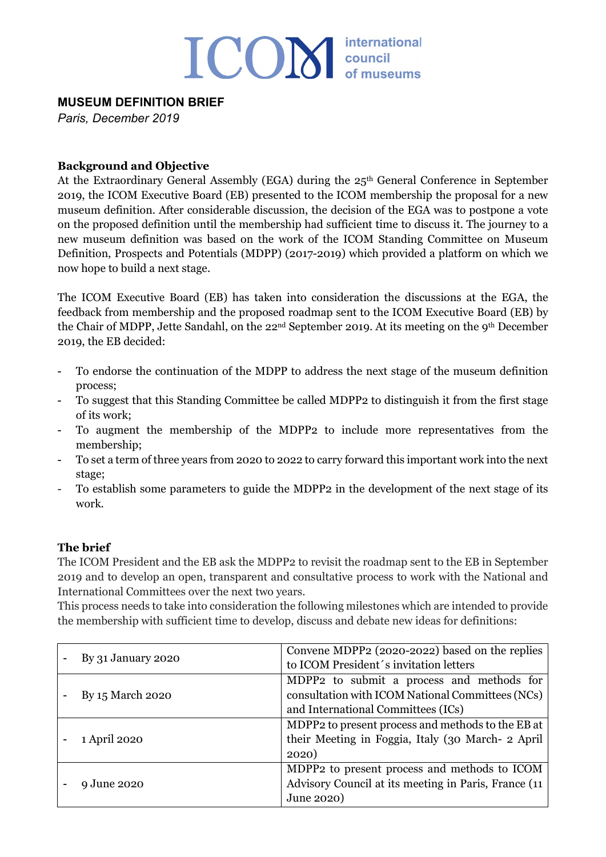# ICOM council

# **MUSEUM DEFINITION BRIEF**

*Paris, December 2019*

### **Background and Objective**

At the Extraordinary General Assembly (EGA) during the 25<sup>th</sup> General Conference in September 2019, the ICOM Executive Board (EB) presented to the ICOM membership the proposal for a new museum definition. After considerable discussion, the decision of the EGA was to postpone a vote on the proposed definition until the membership had sufficient time to discuss it. The journey to a new museum definition was based on the work of the ICOM Standing Committee on Museum Definition, Prospects and Potentials (MDPP) (2017-2019) which provided a platform on which we now hope to build a next stage.

The ICOM Executive Board (EB) has taken into consideration the discussions at the EGA, the feedback from membership and the proposed roadmap sent to the ICOM Executive Board (EB) by the Chair of MDPP, Jette Sandahl, on the 22nd September 2019. At its meeting on the 9th December 2019, the EB decided:

- To endorse the continuation of the MDPP to address the next stage of the museum definition process;
- To suggest that this Standing Committee be called MDPP2 to distinguish it from the first stage of its work;
- To augment the membership of the MDPP2 to include more representatives from the membership;
- To set a term of three years from 2020 to 2022 to carry forward this important work into the next stage;
- To establish some parameters to guide the MDPP2 in the development of the next stage of its work.

## **The brief**

The ICOM President and the EB ask the MDPP2 to revisit the roadmap sent to the EB in September 2019 and to develop an open, transparent and consultative process to work with the National and International Committees over the next two years.

This process needs to take into consideration the following milestones which are intended to provide the membership with sufficient time to develop, discuss and debate new ideas for definitions:

| By 31 January 2020 | Convene MDPP2 (2020-2022) based on the replies<br>to ICOM President's invitation letters                                            |
|--------------------|-------------------------------------------------------------------------------------------------------------------------------------|
| By 15 March 2020   | MDPP2 to submit a process and methods for<br>consultation with ICOM National Committees (NCs)<br>and International Committees (ICs) |
| 1 April 2020       | MDPP2 to present process and methods to the EB at<br>their Meeting in Foggia, Italy (30 March- 2 April<br>2020)                     |
| 9 June 2020        | MDPP2 to present process and methods to ICOM<br>Advisory Council at its meeting in Paris, France (11)<br>June 2020)                 |